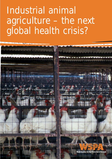# Industrial animal agriculture – the next global health crisis?

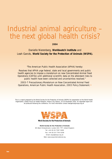# Industrial animal agriculture – the next global health crisis?

**2004**

Danielle Nierenberg, **Worldwatch Institute** and Leah Garcés, **World Society for the Protection of Animals (WSPA).** 

*"The American Public Health Association (APHA) hereby:*

*Resolves that APHA urge federal, state and local governments and public health agencies to impose a moratorium on new Concentrated Animal Feed Operations (CAFOs) until additional scientific data on the attendant risks to public health have been collected and uncertainties resolved."*

*2003-7 Precautionary Moratorium on New Concentrated Animal Feed Operations, American Public Health Association, 2003 Policy Statement.59*

This is a report prepared by the World Society for the Protection of Animals (WSPA) for presentation at the World Health Organisation, Global Forum for Health Research, Mexico City, Mexico, 16-20 November 2004. An expanded report will be produced following the conference. For more information contact leahgarces@wspa.org.uk



**World Society for the Protection of Animals** 

**World Society for the Protection of Animals** 89 Albert Embankment, London SE1 7TP United Kingdom Tel: +44 (0) 20 7587 5000 Fax: +44 (0) 20 7793 0208 Email: wspa@wspa.org.uk Web: www.wspa-international.org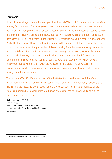# **Foreword\***

"Industrial animal agriculture - the next global health crisis?" is a call for attention from the World Society for Protection of Animals (WSPA). With this document, WSPA seeks to alert the World Health Organization (WHO) and other public health institutes to "take immediate steps to reverse the growth of industrial animal agriculture, especially in regions where this production is set to dominate" (i.e. Asia, Latin America and Africa). As a virologist involved in research at a National Public Health Institute, I have read this draft report with great interest. I see merit in this report, in that it lists a number of important health issues arising from the ever-increasing demand for animal protein and the direct consequence of this, namely the increasing scale of industrial animal agriculture. My direct involvement is with zoonotic infections, i.e. infections that can jump from animals to humans. During a recent expert consultation of the WHO\*, several recommendations were drafted which are relevant for this topic. The WHO called for involvement of non-traditional partners in improving preparedness for human health hazards arising from the animal world.

The mission of WSPA differs from that of the institutes that it addresses, and therefore recommendations for action will not necessarily be shared. What is important, however, is to not discard the message underneath, namely a joint concern for the consequences of the increasing demand for animal protein to human and animal health. That should be a good staring point for discussion.

*Marion Koopmans, DVM, PhD Chief of Virology Diagnostic Laboratory for Infectious Diseases National Institute for Public Health and the Environment*

*The Netherlands*

<sup>\*</sup> Prepared for a draft report from which this submission is extracted.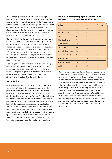This study highlights the public health effects of the highly intensive farming of animals, whereby large numbers of animals are often confined to a small area along with the attendant waste from the system. Some highly intensive systems, such as battery cages for laying hens and sow stalls for pregnant pigs, are being phased out on animal welfare grounds in some parts of the world, e.g. the European Union. However, in other parts of the world, these same systems are being taken up.

There is no doubt that the use of highly intensive farming systems has accelerated the use of antibiotics and other inputs, and led to the association of these systems with public health risks as outlined in this paper. This paper calls for action to reduce these associated public health risks, not least through the adoption of safe, humane and sustainable production systems such as freerange and organic. It should be recognised that animals can also be kept indoors in a welfare-friendly manner and without damage to the environment.

A large proportion of farm animals worldwide are reared in highly intensive industrial farming systems. Unless action is taken to reverse this situation, the public health impacts are likely to increase. This paper proposes that consumers worldwide will increasingly demand quality food that is produced to high standards of both food safety and animal welfare.

#### **Introduction**

Industrial farming is a system of raising animals using intensive 'production line' methods that maximise the amount of animal products produced, while minimising production costs to the industry. Industrial animal agriculture is characterised by high stocking densities and/or close confinement, forced growth rates, high mechanisation, and low labour requirements.<sup>1</sup> According to the United Nations' Food and Agriculture Organization (FAO), Asia has the fastest-developing livestock sector, followed by Latin America and the Caribbean.2 According to the International Food Policy Research Institute (IFPRI), countries in Latin America, Asia and Africa will be the world's leading producers of animal products by 2020 and much of that meat will be produced in industrial systems.<sup>3</sup> Consumption of animal products is also set to increase the most in these regions over the next 15 years. (See Table  $1$ )<sup>3</sup>

**Table 1: Meat consumption by region in 1993 and projected consumption in 2020 (kilograms per person per year).**

In these regions, many industrial animal farms are located beside, or sometimes within, some of the world's most densely populated and fastest growing cities, where they can pollute the water, air and land. With little regulation presently in place to control inputs or outputs of industrial animal farming, the potential consequences on the health of communities is of great concern. Little work is currently being conducted to analyse the public health effects in developing countries related to industrial animal agriculture. Research in more affluent countries such as the United Kingdom and the United States has raised concerns in scientific literature about infectious disease, antibiotic resistance, pollution to drinking waters and land, resulting in serious disease outbreaks and other health concerns as a result of inputs and outputs of industrial animal farming.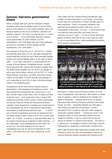#### **Zoonoses: food-borne gastrointestinal disease**

Millions of people suffer each year from food-borne illnesses. Developing nations bear the greatest burden of cost and illness because of the presence of a wide range of parasites, toxins, and biological hazards and the lack of surveillance, prevention and treatment measures - all of which can leave the poor in a chronic cycle of infection.17 In the United States, food-borne diseases causes approximately 76 million illnesses, 325,000 hospitalisations, and 5,000 deaths each year. Known pathogens account for an estimated 14 million illnesses, 60,000 hospitalisations, and 1,800 deaths.<sup>18</sup>

Most outbreaks of Escherichia coli (E. coli) 0157:H7, a virulent and potentially lethal strain of E.coli, have been associated with contaminated beef and with the rise of rapid automated slaughter practices and industrial feedlots systems as the means of raising cattle.19 E.coli infects meat when it is contaminated with the contents of the gut (faeces) of slaughtered animals. Industrial animal agriculture often requires high throughput slaughter lines. The speed of these slaughter lines can result in gut spillage, as well as poor animal welfare. Infection by E.coli O157:H7 causes bloody diarrhoea, renal failure, and death; particularly amongst children and the elderly. The WHO estimates that pathogenic E. coli is responsible for up to 25% of cases of diarrhoea amongst children in the developing world.<sup>19</sup>

Camplyobacters are the most common bacterial causes of gastroenteritis in both developed and developing countries.19 One study reported that Campylobacter spp. may be found in up to 90% of broiler (meat) chicken flocks, 100% of turkeys and 88% of domestic ducks.20 A UK government survey in August 2001 revealed that two-thirds of fresh chickens in British supermarkets and butchers shops are infected with food poisoning bacteria. Laboratory checks showed 63% of samples were contaminated by the Campylobacter bug, which is responsible for approximately three-quarters of confirmed food poisoning cases. 21, 22 In the EU, some 170,000 Campylobacter poisonings are reported annually. 22 The actual number of cases is likely to be as much as seven times higher - at 1.9 million - according to a prominent health expert, as the majority of poisonings go unreported to health authorities. 23 In the United States, where underreporting has been taken into account, the 1.96 million food-borne human cases of Campylobacter each year are said to be responsible for \$700 million -1,400 million per annum lost in productivity, and 99 deaths. 12, 5

Public health risks from industrial farming emanate from large numbers of animals being kept in a small space. In the broiler chicken shed, tens of thousands of chickens are often kept on a litter-covered floor. If litter is not properly maintained, then significant animal welfare and public health risks, such as Campylobacter contamination, can result.20 A recent Danish study concluded that used poultry litter, when stored, acts as a continuous source of C. jejuni.<sup>24</sup> It is also of concern that poultry growers sometimes reuse litter for two or more 'grow-out cycles', i.e. two or more different flocks, further exacerbating the potential for the spread of Campylobacter.25



**A fundamental concern for industrial-style livestock farming is that large numbers of animals are often kept in a small area, leading to problems of waste disposal as well as disease potential** 

Salmonella is a leading cause of food-borne disease. As in the case of Campylobacter, moist litter that is often present in a broiler shed, for example, is likely to contribute to the cultivation and growth of Salmonella.26 Industrial animal farms can disperse Salmonella widely into the environment, polluting surface waters, the soil, and rivers.<sup>19</sup> Salmonella enteriditis can infect eggs in hens' ovaries and cause fever and diarrhoea in humans. Salmonella DT104 is spread by cattle and is often resistant to almost every available antibiotic. 19 Of particular concern is the increasing number of human Salmonella infections that are resistant to antibiotics, in part as a result of the misuse and overuse of antibiotics in industrial animal farming. One strain of S. Typhimurium has emerged as resistant to five drugs: ampicillin, chloramphenicol, streptomycin, sufolnamides, and tetracycline.27

WSPA urges the World Health Organisation and other public health institutes to monitor and make recommendations to ensure the control of food-borne diseases associated with industrial animal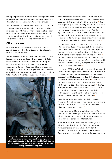farming. On public health as well as animal welfare grounds, WSPA recommends that industrial animal farming is phased out in favour of more humane and sustainable methods of food production.

Alternative methods to industrial animal agriculture include systems such as free-range or organic methods where animals are given more space, less antibiotics, and where outputs have less negative impact on the water and land. Indoor systems can also be used where the animals are given the space and environment needed to express natural behaviours and meet their welfare needs.

#### **Other zoonoses**

Industrial animal agriculture has acted as a 'launch pad' for zoonotic diseases such as Bovine Spongiform Encephalopathy (BSE), avian flu and Nipah virus.

The WHO has reported that as of April 2004, 146 people in the UK have succumbed to variant Creutzfeldt-Jakob disease (vCJD), the human form of mad cow disease.<sup>28</sup> BSE, and the subsequent infection of humans with vCJD, is characterised by spongy degeneration of the brain, with severe and fatal neurological signs and symptoms. The practice of feeding rendered animal protein to cattle, which are natural herbivores, in order to cut costs, is believed to have resulted in BSE and subsequent human infection. 28



**'Zero-grazing' systems, where feed is brought to the animal, have led to unnatural farming practices such as feeding rendered animal protein to cattle. Originally only found in North America and parts of Asia, they are now becoming increasingly common throughout the developing world**

In Eastern and Southeastern Asia alone, an estimated 6 billion broiler chickens are reared for meat 29 - many of these birds are raised in proximity to the regions' rapidly growing cities. 29 This increasing intensity of production, along with the close proximity of these animals to where people live, raises some serious public health concerns. <sup>29</sup> According to the Food and Agriculture Organization, the spread of avian flu from Pakistan to China may have been facilitated by the rapid scaling-up of poultry and pig operations and the massive geographic concentration of livestock from industrial animal farms in Thailand, Vietnam and China.30

At the end of February 2003, an outbreak occurred of highly pathogenic avian influenza A virus subtype H7N7 in commercial poultry farms in the Netherlands. A study found an unexpectedly high number of transmissions of avian influenza A virus subtype H7N7 to people directly involved in handling infected poultry. 31 The 2003 outbreak in the Netherlands resulted in over 30 million chickens – one quarter of the country's flock - being slaughtered in over 1000 commercial holdings, causing two human deaths and over US\$150 million in damages.<sup>32</sup>

Since January 2004, avian flu has killed 28 people in Vietnam and Thailand - experts suspect that the outbreak has been responsible for more human deaths than have been reported. The outbreak which was thought to have ceased in March 2004, has resumed in four countries and recently spread to Malaysia.<sup>61</sup> Costs are estimated to be in the billions of dollars for the Asian poultry industry, with over 100 million chickens slaughtered. 33 The Asian Development Bank has stated that the outbreak could result in "tens of billions of dollars" in damage, citing in particular the poultry industry in Thailand - worth \$1 billion in exports - and in Indonesia - worth \$7 billion in domestic production.34

In Canada, two poultry workers became ill with a less virulent strain of the flu. Costs included 17 million culled chickens, turkeys and ducks; thousands of lost jobs and an estimated US\$300 million impact on the local economy.<sup>35</sup>

There are concerns that funds to facilitate the 'repopulation' of poultry will be directed to large-scale intensive methods of rearing animals rather than more humane and sustainable alternatives. This is likely to perpetuate the public health risk.

Nipah virus is one of the newest zoonoses to emerge and it is a salient, but complicated, example of what can happen when intensive agriculture combines with the destruction of ecosytems.36 Nipah was first discovered in 1997 in a small Malaysian village, which was home to one of the largest pig farms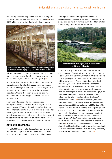# Industrial animal agriculture – the next global health crisis?

in the country. Residents living near the farm began coming down with flu-like symptoms resulting in more than 100 deaths.<sup>36</sup> In April of 2004, Nipah struck again in Bangladesh, killing 19 people. 36



 **a maximum number of pigs using a minimum amount of space**

Scientists predict that as industrial agriculture continues to move into tropical environments, the risk from Nipah viruses and other diseases that can jump the species barrier is growing.<sup>36</sup>

With humans living near and working with high concentrations of enclosed animals, the risks of disease spreading are increased. With animals for slaughter often being transported long distances, sometimes across borders, the spread of disease is further exacerbated. Of particular concern is where outbreaks have occurred in countries less equipped to monitor, control and prevent outbreaks.

Recent outbreaks suggest that the zoonotic disease consequences related to industrial animal farming should be a priority concern. WSPA urges the World Health Organization and other public health institutes to use their influence to advise policy makers against actions that will lead to the further expansion of industrial animal agriculture. Policymakers should also be advised to support humane and sustainable alternatives that are likely to minimise the risk of pandemic or local outbreaks of zoonoses.

#### **Antibiotic resistance**

Of the 18,000 tonnes of antibiotics used each year for medical and agricultural purposes in the US, 12,600 tonnes are for nontherapeutic treatment, in order to promote farm animal growth. 37 According to the World Health Organization and FAO, the widespread use of these drugs in the livestock industry is helping to breed antibiotic-resistant microbes, and making it harder to fight diseases amongst both animals and humans alike.<sup>38</sup>



**An example of a manure lagoon, used to process waste on this farm in Malaysia**

The EU has recently moved to ban seven antibiotics for use in growth promotion. Four antibiotics are still permitted, though the European Commission Scientific Steering Committee has proposed to ban all growth promoters from 2006, due to concern over antibiotic resistance.39 In February 2002, three major global companies -Tyson Foods, Perdue Farms and Foster Farms voluntarily stopped the 20-year-old practice of adding antibiotics to the feed given to healthy chickens for prophylactic purposes.<sup>40</sup> Global fast food companies McDonald's, Wendy's and Popeyes no longer dose chickens with an antibiotic related to the anthrax treatment ciprofloxacin, in case this reduces ciprofloxacin's effectiveness for humans. 40 Despite these actions, the use of antibiotics continues to rise globally. Anti-microbial use by poultry producers has risen 307% per bird since the 1980s. Beef cattle are given 28% more antibiotics than they were 15 years ago, and pigs are fed 15% more.<sup>41</sup> A study in South Africa revealed that meat from slaughtered egg-laying hens was contaminated with large numbers of infectious diseases, diseases that the study community was suffering from. Of further concern, the study showed that the bacteria were 100% resistant to most common antibiotics.42 A pilot study in Thailand revealed a prevalence of Salmonella and E. coli resistant to anti-microbials in workers in pig and chicken farms in the northern part of the country, presumably from the overuse of antibiotics in livestock raising.43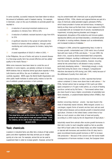In some countries, successful measures have been taken to reduce the amount of antibiotics used in livestock rearing. For example, in Denmark, a ban on the use of antibiotics to promote growth has resulted in:

- ❍ A reduction of vancomycin-resistant eneterococcus prevalence in chickens from 80% to 10%
- ❍ A reduction of antibiotic resistant bacteria in pigs from 65% to 25%
- ❍ A significant reduction in the spread of salmonella from livestock to humans without antibiotics, through careful monitoring and control programs for broilers, laying hens and pigs
- ❍ A saved expenditure of US\$25.5 million in 2001. <sup>44</sup>

In the Philippines, the use of herbs and spices to prevent disease in a free-range poultry farm has proved effective and has added quality to the meat's flavour.<sup>62</sup>

While some measures have been taken to curtail the use of antibiotics in some regions, use globally continues to increase. WSPA believes that as industrial animal agriculture expands in Asia, Latin America and Africa, the use of antibiotics needs to be carefully regulated. WSPA urges the World Health Organization and other public health institutes to advise policy makers to ban the use of antibiotic growth promoters in farm animals.



**Free-range farms, such as this chicken farm in the Philippines, use spices and native plants to treat and prevent illness. Chilli, for instance, can be used to treat respiratory problems and to de-worm birds**

# **Toxic chemicals**

Livestock in industrial farms are often fed a mixture of high protein grains and other ingredients that help animals put on weight quickly at a low cost. For example, animal fat can be used to supplement feed in order to increase growth. However, animal fat

may be contaminated with chemicals such as polychlorinated biphenyls (PCBs). PCBs, dioxins and organochlorines are part of a class of chemicals called persistent organic pollutants (POPs), which bioaccumulate in human and animal tissue, increasing in toxicity as they move up the food chain. Human exposure to POPs is associated with an increased risk of cancers; neurobehavioural impairment, including learning disorders and changes in temperament; disruptions of the endocrine and immune system; reproductive deficits and sex-linked disorders; a shortened period of lactation in nursing mothers; diseases such as endometriosis; and increased incidence of diabetes.<sup>45</sup>

In Belgium in 1999, animal fat supplementing feed, in order to increase growth, contaminated over 1,500 metric tons of animal feed with toxic levels of PCBs and dioxins. <sup>46</sup> In June 1999, the dioxin crisis, caused by dioxin-contaminated feed components, exploded in Belgium, resulting in withdrawal of chicken and eggs from the market. Despite these problems, however, recycling animal fat into animal feed is still allowed in many countries, particularly developing nations. <sup>46</sup> Interestingly enough, a study found that during the dioxin crisis in Belgium, Campylobacter infections decreased by 40% during June 1999, mainly because of the withdrawal of poultry from retail sale. 48

A study in the journal *Science,* in 2004, reported that farmed salmon contained 11 times more dioxin than in wild salmon.<sup>49</sup> For PCBs, farmed salmon had an average of 36.6 parts per billion (ppb) compared to 4.75 ppb in wild salmon, as a result of feeding practices carried out by fish farms. 49 Farm-reared salmon have also been found to have a higher concentration of potentially toxic flame retardants, or polybrominated diphenyl ethers (PDBEs), than wild salmon.<sup>50</sup>

Another concerning chemical - arsenic - has been found in the meat of industrially reared chickens. While inorganic arsenic is a carcinogen, organic forms of arsenic are less toxic and are used to fight animal diseases and accelerate growth in industrial animal agriculture. Chickens in the United States contain three to four times as much arsenic as other kinds of meat and poultry, according to a 2003 study by the US Department of Agriculture.<sup>51</sup>

Industrially reared farm animals often receive growth hormones in their diet in order to reach slaughter weight as fast as possible. Over 90% of beef cattle in the United States are either implanted or injected with hormones and one-third of the US dairy herd is given recombinant bovine growth hormone or rBST to increase milk production.<sup>52</sup> Because of the concern over the human health consequences of hormone residues in meat, the European Union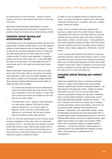# Industrial animal agriculture – the next global health crisis?

has banned the use of steroid hormones. However, hormones continue to be used in many industrial animal farms in other parts of the world.

WPSA urges the WHO and public health institutes to use their influence to advise government policymakers to prohibit the use of production enhancing hormones such as steroid hormones and rBST.

#### **Industrial animal farming and environmental health**

A fundamental concern for industrial-style livestock farming is that large numbers of animals are often kept in a small area, leading to problems of waste disposal as well as disease potential. To give an idea of scale, the planet's population of some 2.5 billion pigs and cattle excrete more than 80 million metric tons of waste nitrogen annually. The entire human population, in comparison, produces just over 30 million metric tons.4 In the United States, the amount of animal waste is 130 times greater than that of human waste, and it is not subject to the same level of waste treatment.5

Nitrate contamination of groundwater from manure can create serious risks for the public health of communities. For example, high nitrate levels in wells near animal feedlot operations have been linked to a greater risk of miscarriage in pregnant women.<sup>6</sup> Other examples of pollution effecting environmental health are readily abundant around the globe:

- O The Chinese State Environment Protection Administration reports that industrial animal farms have become a major source of pollution. In 1995, for example, 1.7 billion metric tons of unprocessed manure was dumped into rivers that often serve as water supplies.
- O In Michigan (USA) in 2001, samples of water downstream of a cattle feedlot contained 1,900 times the state's maximum standard for E. coli in surface waters. In Walkerton, Ontario, more than 1,300 residents were affected by E. coli poisoning, after the town's drinking water was polluted by nearby cattle operations.<sup>8</sup>

As much as 75% of the antimicrobials fed to farm animals may be excreted unmetabolised in their waste, which can contaminate groundwater and soil. 9 Hormones fed to farm animals to promote growth leave residues in eggs, meat and dairy products and are also excreted in manure. Researchers have found that some of these hormones are endocrine disrupters and can influence the reproductive systems of wildlife and humans.10

Air quality can also be negatively affected by industrial animal farming. As manure decomposes it releases 160 to 400 volatile compounds, including amines, mercaptans, fatty acids, sulphides, phenols, amides and skatoles.11

Further concern for residents living near industrial animal agriculture is readily found in the scientific literature. Research conducted by Duke University in the United States has found that residents living near pig farms report more tension, depression, anger, fatigue, confusion, and less energy.12 A study published in the *Journal of Agricultural Safety and Health,* found that residents living near industrial animal farms have higher rates of respiratory problems, nausea, fatigue, plugged ears, irritated eyes, nose and throats.13

In many countries where industrial animal farming is increasingly dominating production, there are little measures in place to control and prevent the illness associated with its disease-causing wastes. WSPA urges the World Health Organization and other public health institutes to advise policy makers to regulate to ensure that animal farming is conducted by methods which are not hazardous to the land, water and air in which communities live.

## **Industrial animal farming and workers' health**

Studies have revealed that workers on industrial animal farms suffer from a variety of work-related illness including mental problems, repetitive stress injuries and respiratory problems - the latter being the most extensively studied.14 Workers at industrial animal farms may work 50 to 60 hours per week indoors, resulting in long periods of exposure to high levels of respiratory toxins, including bacterial endotoxins, fungal moulds, and the manure-generated gases hydrogen sulphide and ammonia. 14 The dust in industrial animal farms is an 'organic soup' of allergens, including insect faeces, animal and bird faeces, animal skin and hair particles, pollen, antibiotics, feed components and pesticides.14 Researchers in the United States, Sweden, Canada, the Netherlands and Denmark found that approximately 50% of industrial pig farm workers studied experienced one or more of the following health problems: bronchitis; occupational asthma; hyperreactive airway disease; toxic organic dust syndrome (TODS); chronic mucous membrane irritation; or hydrogen sulphide intoxication.15 A study found that 90% of dust sampled in an industrial pig farm was contaminated with antibiotics including tylosin, various tetracyclines, sulfamethazine and chloramphenicol.15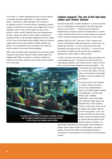The workers in a modern slaughterhouse have an injury rate that is reportedly three times higher than in a typical American factory.16 Whilst there is little information on the number of occupational injuries in the meat industry in developing countries, however, the similarity of the systems used, together with a lack of regulation, makes it likely that the health and injury risk for workers in these countries' industrial farms and slaughterhouses are high. Equally, the speed at which workers are expected to slaughter animals in high throughput slaughterhouses puts workers at risk of injury and threatens animal welfare. Measures should be urgently taken to ensure that workers are better protected and trained. This could benefit not only the safety of the worker but also the welfare of the animals being slaughtered.

WSPA urges the World Health Organization and other public health institutes to advise policy makers to protect workers against the negative health effects of working in unsanitary conditions on industrial animal farms created by having many animals crowded into a small space.

## **Indirect impacts: The rise of the fast food nation and chronic disease**

Industrial animal farms are often developed in a country to provide low cost, standardised animal products to fast food restaurants, caterers or even airlines.42 Therefore, fast food restaurant development and industrial animal farm development in a country is often invariably linked, and so it is worth looking more closely at indirect impacts of industrial animal farming on human health.

Between 1996 and 2001, there was a 126% increase in the number of McDonald's outlets doing business in Asia, Pacific, the Middle East and Africa.<sup>54</sup> In China, there are more than 500 McDonald's franchises and over 1,000 KFCs.55 In India, the fast food industry is growing by 40% per year and is expected to generate over a billion dollars in sales by 2005.56

In 2002, two-thirds of the gains in global meat consumption were in the developing world. $53$  According to the WHO and the FAO, cardiovascular disease is now more prominent in India and China than in all economically developed countries put together. 57 The

> China Health Survey has found that, as a result of high intakes of fat and protein, the proportion of overweight teenagers in China has tripled in the past decade.58

The costs of these chronic diseases to a nation's health care system should not be underestimated. A study in the United Kingdom revealed that hypertension, coronary heart disease, Type 2 diabetes, osteoarthritis, cancers and strokes were costing the health system and estimated £457 million (US\$822 million) in 2002 alone, which can all be related to the increase intake of animal fat and protein.<sup>21</sup> Asia, Latin America and Africa are likely to see a change in diets and disease burdens as industrial animal production and fast food presence increases. The

World Health Organization and other public health institutes are strongly urged to advise nations to adopt healthy consumption patterns, where fast food diets and associated high levels of consumption of animal products from industrial animal farming are rejected.



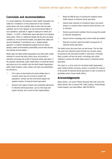# **Conclusion and recommendations**

In a recent statement, the American Public Health Association has called for a moratorium on the construction of new industrial animal farms until more scientific data on their risks has been collected, and for more research on the environmental effects of such operations, especially in regard to exposure to infants and children.59 In 2001, a World Bank report said that as the livestock sector grows "there is a significant danger that the poor are being crowded out, the environment eroded, and global food safety and security threatened." It promised to use a "people-centred approach" to livestock development projects that will reduce poverty, protect environmental sustainability, ensure food security and promote animal welfare. 60

WSPA urges the World Health Organization and other public health institutes to ensure that policy advice does not promote or otherwise encourage the growth of industrial animal agriculture. If the potential, detrimental, public health effects of industrial animal agriculture are to be avoided, then the World Health Organization, public health institutes, policy makers and other key stakeholders are advised to:

- ❍ Put in place environmental and animal welfare laws in countries where they do not exist to protect the populations, animals and the environment against the negative impacts of industrial animal agriculture
- O Research and support humane and sustainable alternatives to industrial animal agriculture, such as free-range and organic farming, and commit to their implementation
- O Begin the difficult task of resolving the negative human health impacts of industrial animal agriculture
- ❍ Improve data collection on food-borne illness and animal disease in countries where industrial animal farming is set to dominate
- O Remove governmental subsidies that encourage the growth of industrial development
- O Improve farmer knowledge about animal health and welfare
- ❍ Educate consumers about the health consequences of industrial animal agriculture.

The health issues discussed here are well known. The fact that they stem from industrial animal farming has not been clearly recognised by the international health or agriculture community. Many countries still lack the policy, technology and control methods to prevent the health repercussions of industrial animal agriculture.

This report is a call to action for the World Health Organization, public health institutes and policy makers to prioritise the reversal of the growth of industrial animal agriculture in order to prevent its potentially serious human health effects.

# **Acknowledgements**

Debra Ashton, Luiz Carlos Pinheiro Machado Filho PhD, Amy Firth, Vadivu Govind, Ben A Lopman PhD, Philip Lymbery, Viviana Monge, Fusako Nogami, and David Wilkins, MBE MA MRCVS.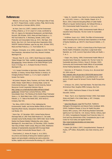#### **References:**

<sup>1</sup> Millstone, Erik and Lang, Tim (2003), *The Penguin Atlas of Food*, pp. 36-37, Penguin Books, London; Lymbery, Philip, World Society for the Protection of Animals (WSPA), (2004).

<sup>2</sup> de Haan, Cees et al, (1997), *Livestock and the Environment: Finding a Balance,* p. 53 of a report of a study coordinated by FAO, U.S. Agency for International Development, and World Bank, Brussels; FAO (October, 2002), *Meat and Meat Products*, p. 11, FAO Food Outlook No. 4; Nierenberg, Danielle, (2003), *Meat Production and Consumption Grow,* pp. 30-31, Vital Signs, W.W. Norton, New York; U.N. Food and Agriculture Organization (FAO), FAOSTAT Statistical Database, apps.fao.org; idem, (October 2002), *Meat and Meat Products*, p. 11, Food Outlook No. 4.

<sup>3</sup> Delgado, Christopher, et al, (1999), *Livestock to 2020: The Next Food Revolution*, International Food Policy Research Institute, Washington DC.

<sup>4</sup> Vitousek, Peter M., et al., (1997), *World Resources Institute,* '*Global Nitrogen Glut'* Table, available at www.wri.org/wri/wr-98- 99/nutrient.htm, Human Alteration of the Global Nitrogen Cycle, Issues in Ecology, vol. 1, Ecological Society of America, Washington DC.

5 U.S. Senate Committee on Agriculture, (December, 1997), *Nutrition, & Forestry, 'Animal Waste Pollution in America: An Emerging National Problem'*, p. 11 of a report compiled for Senator Tom Harkin.

6 McCasland, Margaret, Nancy Trautman, and Porter, Keith, (May, 1998), *Nitrate: Health Effects in Drinking Water*, Center for Environmental Research ; Wagenet, Cornell University, Natural Resources Cornell Cooperative Extension View at http://pmep.cce.cornell.edu/facts-slides-self/facts/nit-heefgrw85.html; Sampat Payal, (January/February, 2000); *Groundwater Shock: The Polluting of the World's Major Freshwater Stores*, p. 14; World Watch idem, (2001), *Uncovering Groundwater Pollution*, p. 27, *State of the World 2001,* W.W. Norton & Company, New York.

<sup>7</sup> Tao, Betsy, (2003) *A Stitch in Time: Addressing the Environmental, Health, and Animal Welfare Effects of China's Expanding Meat Industry*, Georgetown International Environmental Law Review, 321.

<sup>8</sup> Sierra Club, (27 December, 2001*), Animal Factory Manure Discharge Tests at 1,900 Times State Maximum E. Coli Levels; Lenawee County Facility Already Under USEPA Order: Secon Facility Nearby Has Massive Violation Following Day*, press release, Washington DC; Associated Press, (20 December, 2000), *Canadian Town Wary of Water*; Health Canada, (May-June 2000), *Waterborne Outbreak of Gastroenteritis Associated With Municipal Water Supply*, Canada Communicable Disease Report, v. 26.

9 'Chee-Sanford, JC, Aminov RI, Krapac IJ, et al, (2001), *Occurrence and diversity of tetracycline resistance genes in lagoons and groundwater underlying two swims production facilties,* Applied and Environmental Microbiology, 67: 1494-1502. 10 Balter, M., *Scientific Cross Claims Fly in Continuing Beef War*, pp. 1453-1455, Science, v. 284; Orlando, Edward, et al. (3 March, 2004), *Endocrine-Disrupting Effects of Cattle Feedlot Effluent on Aquatic Sentinel Species, the Fathead Minnow*, p. 353, Environmental Health Perspectives, v. 112, no.3.

<sup>11</sup> Chapin, Amy, (Spring, 1999), *Environmental Health Effects of Industrial Swine Production*, The Kerr Center for Sustainable Agriculture.

<sup>12</sup> Schiffman, Susan, et al, (1995), *The Effect of Environmental Odors Emanating from Commercial Swine Operations on the Mood of Nearby Residents*, pp. 369-375, Brain Research Bulletin, v. 37, no. 4.

<sup>13</sup> Thu, Kendall, et al, (1997), *A Control Study of the Physical and Mental Health of Residents Living Near a Large-Scale Swine Operation*, pp. 13-26, Journal of Agricultural Safety and Health, v. 3, no. 1.

<sup>14</sup> Chapin, Amy, (Spring, 1999), *Environmental Health Effects of Industrial Swine Production*, Speaker's Kit, The Kerr Center for Sustainable Agriculture; Kirkhorn, Steven R, (October, 2002), *Community and Environmental Health Effects of Concentrated Animal Feeding Operations,* Minnesota Medicine, v. 85.

15 Hamscher, G, HT Pawelzick, S Sczeny, et al., (Accessed April 29, 2004 online at

http://ehpnet1.niehs.nih.gov/docs/2003/6288/abstract.html) *Antibiotics in dust originating from a pig fattening farm: a new source of health hazard for farmers?* Environ Health Perspectives 2003.

<sup>16</sup> Schlosser, Eric, (2001), *Fast Food Nation, The Dark Side of the All-American Meal*, Houghton Mifflin Company, New York.

<sup>17</sup> WHO, (2000), *Food-borne Disease: A Focus for Health Education*, Geneva.

18 Mead, Paul S, et al, (September/October 1999), *Food-related Illness and Death in the United States*, p. 607, Emerging Infectious Diseases.

<sup>19</sup> www.cfsan.fda.gov/~mow *Bad Bug Book, Foodborne Pathogenic Microorganisms and Natural Toxins Handbook*; WHO, (2000), *Foodborne Disease: A Focus for Health Education,* Geneva; WHO, (January, 1997) *Multi-drug Resistant Salmonella typhimurium* Fact Sheet No. 130, Geneva; Fletcher, Anthony, (April 23, 2004), *Campylobacter Reviewed* Food Production Daily; U.S. Food and Drug Administration (FDA), *Camplyobacter Jejun* in and Center for Food Safety and Applied Nutrition http://www.foodproductiondaily.com/news/news-

NG.asp?id=51567

20 Calnek, B.W, (Editor), (1997), *Campylobacteriosis, Diseases of Poultry*, 10<sup>th</sup> Edition, Mosby-Wolfe, Iowa State University, p235-245.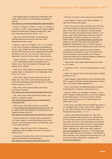<sup>21</sup> Food Standards Agency, (16 August,2001), *Salmonella in retail chicken drops to all time low but the battle with campylobacter continues,*

*http://www.food.gov.uk/news/pressreleases/2001/aug/salmonellachick*

22 Kessel, A S, Gillespie, I A, O'Brien, S J, Adak, G K, Humphrey, T J and Ward, L R, (2001), *General outbreaks of Infectious Intestinal Disease linked with poultry, England and Wales 1992- 1999,* PHLS CDSC,Commun Dis Public Health; 3: 171-7.

<sup>23</sup> Engel, Cindy, (2002), *Wild Health. How Animals Keep Themselves Well and What We Can Learn From Them,* Weindenfeld & Nicolson, London.

24 Petersen, L, Nielsen, E M, Engberg, J, On, S L W, and Dietz, H H, (July, 2001), *Comparison of Genotypes and Serotypescheck word of C. jejuni Isolated from Danish Wild Mammals and Birds and from Broiler Flocks and Humans,* Applied and Environmental Microbiology. Vol 67, No. 7 pp. 3115-3121, Danish Vet. Lab. Department of poultry, fish and fur animals, Aarhus, Denmark.

25 Gregory, E, Barnhart, H, Dreesen, D W, Stern, N J, and Corn, J L, (1997), *Epidemiological Study of Campylobacter spp. in Broilers: Source, Time of Colonization and Prevalence. Avian Diseases,* Vol 41: 890-898.

26 World Poultry, (2000), *Research, Humidity and litter moisture important factors in Salmonella and E.coli multiplication,* World Poultry, Vol 16, No.10.

<sup>27</sup> Helms, Morten, Vastrup, Pernille, Gerner-Smidt, Peter, and Molbak, Kare. (May, 2002), *Excess Mortality Associated with Antimicrobial Drug-Resistant Salmonella Typhimurium,* Emerging Infectious Diseases, Vol. 8, No 5.

28 WHO, (5 May, 2004), *Recommendations from WHO's consultation on zoonoses*,

http://www.who.int/mediacentre/news/briefings/2004/mb3/en/

<sup>29</sup> FAO, (2004), *Animal Health and Production Division, Avian Influenza - Questions & Answers*,

http://www.fao.org/ag/againfo/subjects/en/health/diseasescards/avian\_qa.html

<sup>30</sup> WHO, (January, 2004), *Avian Influenza*, Fact Sheet No 277,http://www.who.int/mediacentre/factsheets/fs277/en/; FAO, (28 January, 2004), *High Geographic Concentration May Have Favored the Spread of Avian Flu,*

http://www.fao.org/newsroom/en/news/2004/36147/index.html

<sup>31</sup> Koopmans, Marion, et al, (February, 2004), *Transmission of H7N7 avian influenza A virus to human beings during a large outbreak in commercial poultry farms in the Netherlands*, Lancet 21: 363 (9409): pp.587-93.

32 Maxwell, Fordyce, (30 April, 2003), *19 million birds slaughtered as avian flu epidemic hits Europe,* The Scotsman – Business section.

<sup>33</sup> Hong Kong US Consulate, (March, 2004), *Size of Asian Bird Flu Outbreak Unprecedented, says Health Agency*. http://hongkong.usconsulate.gov/avian/2004/030201.htm

<sup>34</sup> BBC News, (27 January, 2004), *Avian flu "could cost billions'*.

<sup>35</sup> Leahy, Stephen, (27 August, 2004), *Bird Flu Defeated – at High Cost*, IPS News Service Agency.

<sup>36</sup> Fritsch, Peter, (19 June, 2003), *Scientists Search for Human Hand Behind Outbreak of Jungle Virus*, Wall Street Journal, p.1; Bienen, Leslie, (2003), *Bats Suspected in Disease Outbreak*, Frontiers in Ecology, The Ecological Society of America, p. 117; Daszak, Peter, (2003*), Peter Daszak's Comments on the 60 Minutes Nipah Virus Report,* Consortium for Conservation Medicine website, www.conservationmedicine.com/index.htm; Wildlife Trust, (28 April, 2004), *Nipah Virus Breaks Out in Bangladesh: Mortality Rates of 60 to 74 percent, Human-to-Human Transmission May Be Implicated*, press release, New York.

37 European Commission Health and Consumer Protection Directorate-General, (Adopted on 3 July, 2001),*Opinion of the Scientific Committee on Animal Nutrition on the Criteria for Assessing the Safety of Micro-organisms Resistant to Antibiotics of Human Clinical and Veterinary Importance*.

38 WHO and FAO, (2003), *Antimicrobial Resistance* Fact Sheet, No. 194, Geneva.

39 Animal Pharm, (July 6 , 2001), *EU growth promoter ban closer*, No. 472.

40 Nature, (21 February, 2002), *Poultry Trade Reacts to Antibiotic Resistance*, Vol 415.

41 Mellon, Margaret, Charles Benbrook, and Lutz Benbrook, Karen, (2001), *Hogging It! Estimates of Antimicrobial Abuse in Livestock,* Union of Concerned Scientists, Washington DC.

<sup>42</sup> Garcés, Leah, (2002), *The Detrimental Impacts of Industrial Animal Agriculture,* Compassion in World Farming Trust.

43 Hanson, R, Kaneene, J B, Padungtod, P, Hirokawa, K, Zeno, C (2002), *Prevalence of Salmonella and E. coli, and their resistance to antimicrobial agents, in farming communities in Northern Thailand*, Southeast Asian Journal of Tropical Medical Public Health, Suppl 3: 120-6.

<sup>44</sup> Brown, David, (July, 2003), *Gains from Antibiotic Ban Noted*, p. A11, Washington Post (27 March, 2002); Henrik C. Wegener, et al., (July, 2003) 'Salmonella Control Programs in Denmark', Emerging Infectious Diseases, v. 9, no. 7.

45 Center For International Environmental Law, (May, 2004), *Impacts of Persistent Organic Pollutants*, CIEL, Washington DC. N.B. Not all POPs chemicals have the same health impacts. For more specific information on the health impacts associated with specific POP chemicals see WWF Issue Brief, 'Persistent Organic Pollutants: Hand Me Down Poisons that Threaten Wildlife and People', (Washington DC, WWF, January 1999), available at http://www.worldwildlife.org; Physicians for Social Responsibility, (February, 1998), *POPs and Human Health,* 13 PSR MONITOR 4; WWF, (September, 1998), *Chemicals that Compromise Life: A Call to Action,* Issue Brief , Washington DC, available at URL: http://www.worldwildlife.org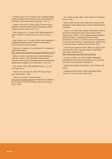<sup>46</sup> Schepens, Paul JC, et al., (February, 2001), *Surprising Findings Following a Belgian Food Contamination with Polychlorobiphenyls and Dioxins*, Environmental Health Perspectives, v. 109, n. 2.

<sup>48</sup> Vellinga, A, Van Loock F, (January, 2002), *The dioxin crisis as experiment to determine poultry-related campylobacter enteritis,* Emerging Infectious Diseases, 8(1): 19-22.

<sup>49</sup> Hites, Ronald A,et al, (9 January, 2004), *Global Assessment of Organic Pollutants in Farmed Salmon*, pp. 226-229, Science, v. 303.

<sup>50</sup> Hites, Ronald A, et al, (10 August, 2004), *Global Assessment of Polybrominated Diphenyl Ethers in Farmed and Wild Salmon*, Environmental Science and Technology.

<sup>51</sup> Wershaw, R L, Garbarino, J R, and Burkhardt, M R, *Roxarsone in Natural Water Systems*,

http://water.usgs.gov/owq/AFO/proceedings/afo/pdf/Wershaw.pdf

<sup>52</sup> Balter, M, *Scientific Cross Claims Fly in Continuing Beef War,* pp. 1453-1455, Science, v. 284; Janet Raloff, (5 January, 2002), *Hormones: Here's the Beef, Environmental Concerns Re-emerge Over Steroids Given to Livestock*, p. 10, Science News, v. 161, no. 1.

<sup>53</sup> FAO, (October, 2002), *Meat and Meat Products*, p. 11, FAO Food Outlook No. 4.

<sup>54</sup> Millstone, Erik, and Lang, Tim, (2003), *The Penguin Atlas of Food*, Penguin Books, London.

55 Kentucky Fried Chicken, Yum Brand Foods,

www.yum.com/investors/units.htm and McDonald's from Millstone, Eric and Lang, Tim (2003), *The Penguin Atlas of Food*, Penguin Books, London.

<sup>56</sup> Rai, Saritha, (29 April, 2003), *Taste of India in U.S. Wrappers*, New York Times.

<sup>57</sup> WHO and FAO, (26 April, 2002), *DRAFT Diet, nutrition and the prevention of chronic disease,* Report of the Joint WHO/FAO expert consultation.

<sup>58</sup> Chen, J, et al., (1990), *Diet, Lifestyle, and Mortality in China: A Study of the Characteristics of 65 Chinese Counties*, Oxford University Press, Oxford, T. Colin Campbell presented *Associations of Diet and Disease - A Comprehensive Study of Health Characteristics in China*, at a conference on 'Social Consequences of Chinese Economic Reforms', Harvard University, Fairbank Center

59 American Public Health Association, (APHA), (12 January, 2004), *American Public Health Association Adopts 27 New Policies,* press release, Washington, DC, http://www.apha.org/news/press/2004/policies.htm

<sup>60</sup> de Haan, Cornelius, et al. (2001), *Livestock Development:*

on East Asian Studies, Cambridge, MA (23-24 May, 1997).

*Implications for Rural Poverty, the Environment, and Global Food Security,* pp. xii-xiii, World Bank, Washington DC.

<sup>61</sup> Editorial, New Scientist, (18 September, 2004), *Monster in the making*.

<sup>62</sup> Management Guide, SASSO, (2002), *Free-Range Colored Chickens*, A.P. Inocencio Farms, Teresa Farms.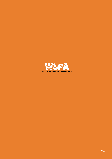